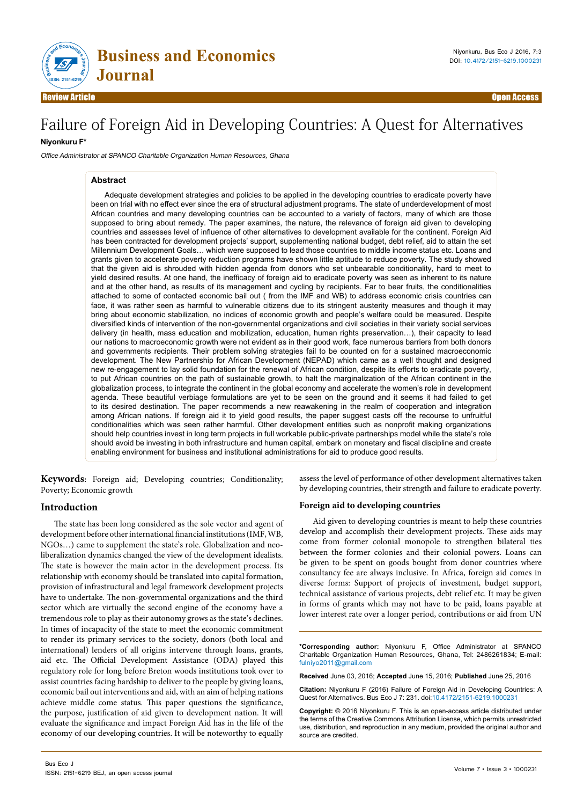

# Failure of Foreign Aid in Developing Countries: A Quest for Alternatives

## **Niyonkuru F\***

Office Administrator at SPANCO Charitable Organization Human Resources, Ghana

## **Abstract**

Adequate development strategies and policies to be applied in the developing countries to eradicate poverty have been on trial with no effect ever since the era of structural adjustment programs. The state of underdevelopment of most African countries and many developing countries can be accounted to a variety of factors, many of which are those supposed to bring about remedy. The paper examines, the nature, the relevance of foreign aid given to developing countries and assesses level of influence of other alternatives to development available for the continent. Foreign Aid has been contracted for development projects' support, supplementing national budget, debt relief, aid to attain the set Millennium Development Goals… which were supposed to lead those countries to middle income status etc. Loans and grants given to accelerate poverty reduction programs have shown little aptitude to reduce poverty. The study showed that the given aid is shrouded with hidden agenda from donors who set unbearable conditionality, hard to meet to yield desired results. At one hand, the inefficacy of foreign aid to eradicate poverty was seen as inherent to its nature and at the other hand, as results of its management and cycling by recipients. Far to bear fruits, the conditionalities attached to some of contacted economic bail out ( from the IMF and WB) to address economic crisis countries can face, it was rather seen as harmful to vulnerable citizens due to its stringent austerity measures and though it may bring about economic stabilization, no indices of economic growth and people's welfare could be measured. Despite diversified kinds of intervention of the non-governmental organizations and civil societies in their variety social services delivery (in health, mass education and mobilization, education, human rights preservation…), their capacity to lead our nations to macroeconomic growth were not evident as in their good work, face numerous barriers from both donors and governments recipients. Their problem solving strategies fail to be counted on for a sustained macroeconomic development. The New Partnership for African Development (NEPAD) which came as a well thought and designed new re-engagement to lay solid foundation for the renewal of African condition, despite its efforts to eradicate poverty, to put African countries on the path of sustainable growth, to halt the marginalization of the African continent in the globalization process, to integrate the continent in the global economy and accelerate the women's role in development agenda. These beautiful verbiage formulations are yet to be seen on the ground and it seems it had failed to get to its desired destination. The paper recommends a new reawakening in the realm of cooperation and integration among African nations. If foreign aid it to yield good results, the paper suggest casts off the recourse to unfruitful conditionalities which was seen rather harmful. Other development entities such as nonprofit making organizations should help countries invest in long term projects in full workable public-private partnerships model while the state's role should avoid be investing in both infrastructure and human capital, embark on monetary and fiscal discipline and create enabling environment for business and institutional administrations for aid to produce good results.

**Keywords:** Foreign aid; Developing countries; Conditionality; Poverty; Economic growth

# **Introduction**

The state has been long considered as the sole vector and agent of development before other international financial institutions (IMF, WB, NGOs…) came to supplement the state's role. Globalization and neoliberalization dynamics changed the view of the development idealists. The state is however the main actor in the development process. Its relationship with economy should be translated into capital formation, provision of infrastructural and legal framework development projects have to undertake. The non-governmental organizations and the third sector which are virtually the second engine of the economy have a tremendous role to play as their autonomy grows as the state's declines. In times of incapacity of the state to meet the economic commitment to render its primary services to the society, donors (both local and international) lenders of all origins intervene through loans, grants, aid etc. The Official Development Assistance (ODA) played this regulatory role for long before Breton woods institutions took over to assist countries facing hardship to deliver to the people by giving loans, economic bail out interventions and aid, with an aim of helping nations achieve middle come status. This paper questions the significance, the purpose, justification of aid given to development nation. It will evaluate the significance and impact Foreign Aid has in the life of the economy of our developing countries. It will be noteworthy to equally

assess the level of performance of other development alternatives taken by developing countries, their strength and failure to eradicate poverty.

#### **Foreign aid to developing countries**

Aid given to developing countries is meant to help these countries develop and accomplish their development projects. These aids may come from former colonial monopole to strengthen bilateral ties between the former colonies and their colonial powers. Loans can be given to be spent on goods bought from donor countries where consultancy fee are always inclusive. In Africa, foreign aid comes in diverse forms: Support of projects of investment, budget support, technical assistance of various projects, debt relief etc. It may be given in forms of grants which may not have to be paid, loans payable at lower interest rate over a longer period, contributions or aid from UN

**\*Corresponding author:** Niyonkuru F, Office Administrator at SPANCO Charitable Organization Human Resources, Ghana, Tel: 2486261834; E-mail: fulniyo2011@gmail.com

**Received** June 03, 2016; **Accepted** June 15, 2016; **Published** June 25, 2016

**Citation:** Niyonkuru F (2016) Failure of Foreign Aid in Developing Countries: A Quest for Alternatives. Bus Eco J 7: 231. doi:10.4172/2151-6219.1000231

**Copyright:** © 2016 Niyonkuru F. This is an open-access article distributed under the terms of the Creative Commons Attribution License, which permits unrestricted use, distribution, and reproduction in any medium, provided the original author and source are credited.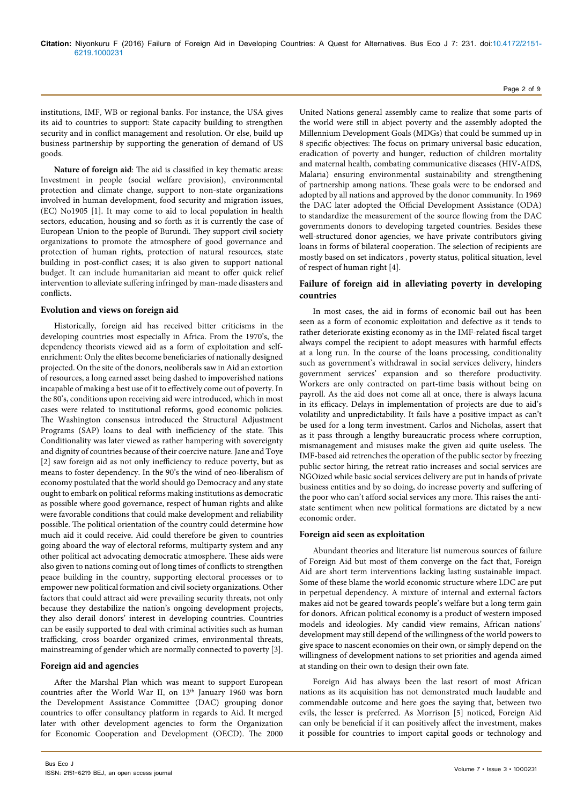institutions, IMF, WB or regional banks. For instance, the USA gives its aid to countries to support: State capacity building to strengthen security and in conflict management and resolution. Or else, build up business partnership by supporting the generation of demand of US goods.

**Nature of foreign aid**: The aid is classified in key thematic areas: Investment in people (social welfare provision), environmental protection and climate change, support to non-state organizations involved in human development, food security and migration issues, (EC) No1905 [1]. It may come to aid to local population in health sectors, education, housing and so forth as it is currently the case of European Union to the people of Burundi. They support civil society organizations to promote the atmosphere of good governance and protection of human rights, protection of natural resources, state building in post-conflict cases; it is also given to support national budget. It can include humanitarian aid meant to offer quick relief intervention to alleviate suffering infringed by man-made disasters and conflicts.

### **Evolution and views on foreign aid**

Historically, foreign aid has received bitter criticisms in the developing countries most especially in Africa. From the 1970's, the dependency theorists viewed aid as a form of exploitation and selfenrichment: Only the elites become beneficiaries of nationally designed projected. On the site of the donors, neoliberals saw in Aid an extortion of resources, a long earned asset being dashed to impoverished nations incapable of making a best use of it to effectively come out of poverty. In the 80's, conditions upon receiving aid were introduced, which in most cases were related to institutional reforms, good economic policies. The Washington consensus introduced the Structural Adjustment Programs (SAP) loans to deal with inefficiency of the state. This Conditionality was later viewed as rather hampering with sovereignty and dignity of countries because of their coercive nature. Jane and Toye [2] saw foreign aid as not only inefficiency to reduce poverty, but as means to foster dependency. In the 90's the wind of neo-liberalism of economy postulated that the world should go Democracy and any state ought to embark on political reforms making institutions as democratic as possible where good governance, respect of human rights and alike were favorable conditions that could make development and reliability possible. The political orientation of the country could determine how much aid it could receive. Aid could therefore be given to countries going aboard the way of electoral reforms, multiparty system and any other political act advocating democratic atmosphere. These aids were also given to nations coming out of long times of conflicts to strengthen peace building in the country, supporting electoral processes or to empower new political formation and civil society organizations. Other factors that could attract aid were prevailing security threats, not only because they destabilize the nation's ongoing development projects, they also derail donors' interest in developing countries. Countries can be easily supported to deal with criminal activities such as human trafficking, cross boarder organized crimes, environmental threats, mainstreaming of gender which are normally connected to poverty [3].

## **Foreign aid and agencies**

After the Marshal Plan which was meant to support European countries after the World War II, on 13<sup>th</sup> January 1960 was born the Development Assistance Committee (DAC) grouping donor countries to offer consultancy platform in regards to Aid. It merged later with other development agencies to form the Organization for Economic Cooperation and Development (OECD). The 2000

United Nations general assembly came to realize that some parts of the world were still in abject poverty and the assembly adopted the Millennium Development Goals (MDGs) that could be summed up in 8 specific objectives: The focus on primary universal basic education, eradication of poverty and hunger, reduction of children mortality and maternal health, combating communicative diseases (HIV-AIDS, Malaria) ensuring environmental sustainability and strengthening of partnership among nations. These goals were to be endorsed and adopted by all nations and approved by the donor community. In 1969 the DAC later adopted the Official Development Assistance (ODA) to standardize the measurement of the source flowing from the DAC governments donors to developing targeted countries. Besides these well-structured donor agencies, we have private contributors giving loans in forms of bilateral cooperation. The selection of recipients are mostly based on set indicators , poverty status, political situation, level of respect of human right [4].

# **Failure of foreign aid in alleviating poverty in developing countries**

In most cases, the aid in forms of economic bail out has been seen as a form of economic exploitation and defective as it tends to rather deteriorate existing economy as in the IMF-related fiscal target always compel the recipient to adopt measures with harmful effects at a long run. In the course of the loans processing, conditionality such as government's withdrawal in social services delivery, hinders government services' expansion and so therefore productivity. Workers are only contracted on part-time basis without being on payroll. As the aid does not come all at once, there is always lacuna in its efficacy. Delays in implementation of projects are due to aid's volatility and unpredictability. It fails have a positive impact as can't be used for a long term investment. Carlos and Nicholas, assert that as it pass through a lengthy bureaucratic process where corruption, mismanagement and misuses make the given aid quite useless. The IMF-based aid retrenches the operation of the public sector by freezing public sector hiring, the retreat ratio increases and social services are NGOized while basic social services delivery are put in hands of private business entities and by so doing, do increase poverty and suffering of the poor who can't afford social services any more. This raises the antistate sentiment when new political formations are dictated by a new economic order.

## **Foreign aid seen as exploitation**

Abundant theories and literature list numerous sources of failure of Foreign Aid but most of them converge on the fact that, Foreign Aid are short term interventions lacking lasting sustainable impact. Some of these blame the world economic structure where LDC are put in perpetual dependency. A mixture of internal and external factors makes aid not be geared towards people's welfare but a long term gain for donors. African political economy is a product of western imposed models and ideologies. My candid view remains, African nations' development may still depend of the willingness of the world powers to give space to nascent economies on their own, or simply depend on the willingness of development nations to set priorities and agenda aimed at standing on their own to design their own fate.

Foreign Aid has always been the last resort of most African nations as its acquisition has not demonstrated much laudable and commendable outcome and here goes the saying that, between two evils, the lesser is preferred. As Morrison [5] noticed, Foreign Aid can only be beneficial if it can positively affect the investment, makes it possible for countries to import capital goods or technology and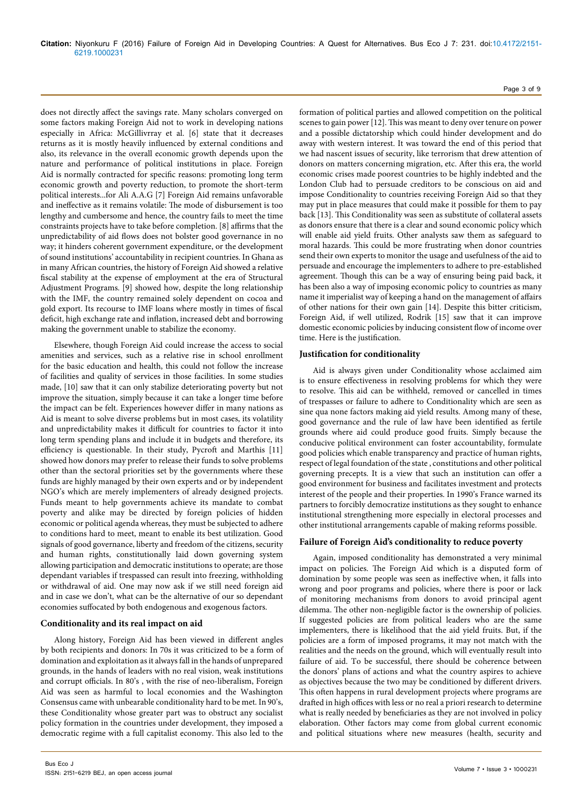does not directly affect the savings rate. Many scholars converged on some factors making Foreign Aid not to work in developing nations especially in Africa: McGillivrray et al. [6] state that it decreases returns as it is mostly heavily influenced by external conditions and also, its relevance in the overall economic growth depends upon the nature and performance of political institutions in place. Foreign Aid is normally contracted for specific reasons: promoting long term economic growth and poverty reduction, to promote the short-term political interests...for Ali A.A.G [7] Foreign Aid remains unfavorable and ineffective as it remains volatile: The mode of disbursement is too lengthy and cumbersome and hence, the country fails to meet the time constraints projects have to take before completion. [8] affirms that the unpredictability of aid flows does not bolster good governance in no way; it hinders coherent government expenditure, or the development of sound institutions' accountability in recipient countries. In Ghana as in many African countries, the history of Foreign Aid showed a relative fiscal stability at the expense of employment at the era of Structural Adjustment Programs. [9] showed how, despite the long relationship with the IMF, the country remained solely dependent on cocoa and gold export. Its recourse to IMF loans where mostly in times of fiscal deficit, high exchange rate and inflation, increased debt and borrowing making the government unable to stabilize the economy.

Elsewhere, though Foreign Aid could increase the access to social amenities and services, such as a relative rise in school enrollment for the basic education and health, this could not follow the increase of facilities and quality of services in those facilities. In some studies made, [10] saw that it can only stabilize deteriorating poverty but not improve the situation, simply because it can take a longer time before the impact can be felt. Experiences however differ in many nations as Aid is meant to solve diverse problems but in most cases, its volatility and unpredictability makes it difficult for countries to factor it into long term spending plans and include it in budgets and therefore, its efficiency is questionable. In their study, Pycroft and Marthis [11] showed how donors may prefer to release their funds to solve problems other than the sectoral priorities set by the governments where these funds are highly managed by their own experts and or by independent NGO's which are merely implementers of already designed projects. Funds meant to help governments achieve its mandate to combat poverty and alike may be directed by foreign policies of hidden economic or political agenda whereas, they must be subjected to adhere to conditions hard to meet, meant to enable its best utilization. Good signals of good governance, liberty and freedom of the citizens, security and human rights, constitutionally laid down governing system allowing participation and democratic institutions to operate; are those dependant variables if trespassed can result into freezing, withholding or withdrawal of aid. One may now ask if we still need foreign aid and in case we don't, what can be the alternative of our so dependant economies suffocated by both endogenous and exogenous factors.

## **Conditionality and its real impact on aid**

Along history, Foreign Aid has been viewed in different angles by both recipients and donors: In 70s it was criticized to be a form of domination and exploitation as it always fall in the hands of unprepared grounds, in the hands of leaders with no real vision, weak institutions and corrupt officials. In 80's , with the rise of neo-liberalism, Foreign Aid was seen as harmful to local economies and the Washington Consensus came with unbearable conditionality hard to be met. In 90's, these Conditionality whose greater part was to obstruct any socialist policy formation in the countries under development, they imposed a democratic regime with a full capitalist economy. This also led to the

formation of political parties and allowed competition on the political scenes to gain power [12]. This was meant to deny over tenure on power and a possible dictatorship which could hinder development and do away with western interest. It was toward the end of this period that we had nascent issues of security, like terrorism that drew attention of donors on matters concerning migration, etc. After this era, the world economic crises made poorest countries to be highly indebted and the London Club had to persuade creditors to be conscious on aid and impose Conditionality to countries receiving Foreign Aid so that they may put in place measures that could make it possible for them to pay back [13]. This Conditionality was seen as substitute of collateral assets as donors ensure that there is a clear and sound economic policy which will enable aid yield fruits. Other analysts saw them as safeguard to moral hazards. This could be more frustrating when donor countries send their own experts to monitor the usage and usefulness of the aid to persuade and encourage the implementers to adhere to pre-established agreement. Though this can be a way of ensuring being paid back, it has been also a way of imposing economic policy to countries as many name it imperialist way of keeping a hand on the management of affairs of other nations for their own gain [14]. Despite this bitter criticism, Foreign Aid, if well utilized, Rodrik [15] saw that it can improve domestic economic policies by inducing consistent flow of income over time. Here is the justification.

## **Justification for conditionality**

Aid is always given under Conditionality whose acclaimed aim is to ensure effectiveness in resolving problems for which they were to resolve. This aid can be withheld, removed or cancelled in times of trespasses or failure to adhere to Conditionality which are seen as sine qua none factors making aid yield results. Among many of these, good governance and the rule of law have been identified as fertile grounds where aid could produce good fruits. Simply because the conducive political environment can foster accountability, formulate good policies which enable transparency and practice of human rights, respect of legal foundation of the state , constitutions and other political governing precepts. It is a view that such an institution can offer a good environment for business and facilitates investment and protects interest of the people and their properties. In 1990's France warned its partners to forcibly democratize institutions as they sought to enhance institutional strengthening more especially in electoral processes and other institutional arrangements capable of making reforms possible.

## **Failure of Foreign Aid's conditionality to reduce poverty**

Again, imposed conditionality has demonstrated a very minimal impact on policies. The Foreign Aid which is a disputed form of domination by some people was seen as ineffective when, it falls into wrong and poor programs and policies, where there is poor or lack of monitoring mechanisms from donors to avoid principal agent dilemma. The other non-negligible factor is the ownership of policies. If suggested policies are from political leaders who are the same implementers, there is likelihood that the aid yield fruits. But, if the policies are a form of imposed programs, it may not match with the realities and the needs on the ground, which will eventually result into failure of aid. To be successful, there should be coherence between the donors' plans of actions and what the country aspires to achieve as objectives because the two may be conditioned by different drivers. This often happens in rural development projects where programs are drafted in high offices with less or no real a priori research to determine what is really needed by beneficiaries as they are not involved in policy elaboration. Other factors may come from global current economic and political situations where new measures (health, security and

#### Page 3 of 9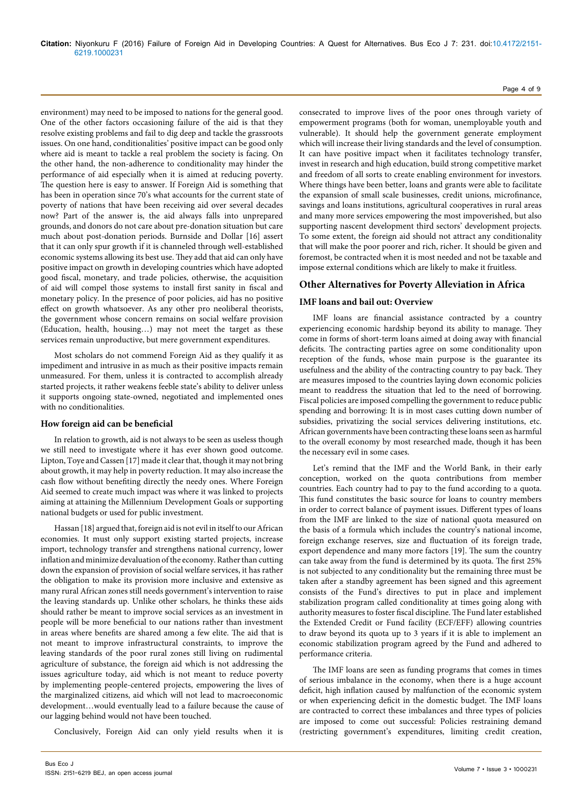environment) may need to be imposed to nations for the general good. One of the other factors occasioning failure of the aid is that they resolve existing problems and fail to dig deep and tackle the grassroots issues. On one hand, conditionalities' positive impact can be good only where aid is meant to tackle a real problem the society is facing. On the other hand, the non-adherence to conditionality may hinder the performance of aid especially when it is aimed at reducing poverty. The question here is easy to answer. If Foreign Aid is something that has been in operation since 70's what accounts for the current state of poverty of nations that have been receiving aid over several decades now? Part of the answer is, the aid always falls into unprepared grounds, and donors do not care about pre-donation situation but care much about post-donation periods. Burnside and Dollar [16] assert that it can only spur growth if it is channeled through well-established economic systems allowing its best use. They add that aid can only have positive impact on growth in developing countries which have adopted good fiscal, monetary, and trade policies, otherwise, the acquisition of aid will compel those systems to install first sanity in fiscal and monetary policy. In the presence of poor policies, aid has no positive effect on growth whatsoever. As any other pro neoliberal theorists, the government whose concern remains on social welfare provision (Education, health, housing…) may not meet the target as these services remain unproductive, but mere government expenditures.

Most scholars do not commend Foreign Aid as they qualify it as impediment and intrusive in as much as their positive impacts remain unmeasured. For them, unless it is contracted to accomplish already started projects, it rather weakens feeble state's ability to deliver unless it supports ongoing state-owned, negotiated and implemented ones with no conditionalities.

## **How foreign aid can be beneficial**

In relation to growth, aid is not always to be seen as useless though we still need to investigate where it has ever shown good outcome. Lipton, Toye and Cassen [17] made it clear that, though it may not bring about growth, it may help in poverty reduction. It may also increase the cash flow without benefiting directly the needy ones. Where Foreign Aid seemed to create much impact was where it was linked to projects aiming at attaining the Millennium Development Goals or supporting national budgets or used for public investment.

Hassan [18] argued that, foreign aid is not evil in itself to our African economies. It must only support existing started projects, increase import, technology transfer and strengthens national currency, lower inflation and minimize devaluation of the economy. Rather than cutting down the expansion of provision of social welfare services, it has rather the obligation to make its provision more inclusive and extensive as many rural African zones still needs government's intervention to raise the leaving standards up. Unlike other scholars, he thinks these aids should rather be meant to improve social services as an investment in people will be more beneficial to our nations rather than investment in areas where benefits are shared among a few elite. The aid that is not meant to improve infrastructural constraints, to improve the leaving standards of the poor rural zones still living on rudimental agriculture of substance, the foreign aid which is not addressing the issues agriculture today, aid which is not meant to reduce poverty by implementing people-centered projects, empowering the lives of the marginalized citizens, aid which will not lead to macroeconomic development…would eventually lead to a failure because the cause of our lagging behind would not have been touched.

Conclusively, Foreign Aid can only yield results when it is

consecrated to improve lives of the poor ones through variety of empowerment programs (both for woman, unemployable youth and vulnerable). It should help the government generate employment which will increase their living standards and the level of consumption. It can have positive impact when it facilitates technology transfer, invest in research and high education, build strong competitive market and freedom of all sorts to create enabling environment for investors. Where things have been better, loans and grants were able to facilitate the expansion of small scale businesses, credit unions, microfinance, savings and loans institutions, agricultural cooperatives in rural areas and many more services empowering the most impoverished, but also supporting nascent development third sectors' development projects. To some extent, the foreign aid should not attract any conditionality that will make the poor poorer and rich, richer. It should be given and foremost, be contracted when it is most needed and not be taxable and impose external conditions which are likely to make it fruitless.

# **Other Alternatives for Poverty Alleviation in Africa**

## **IMF loans and bail out: Overview**

IMF loans are financial assistance contracted by a country experiencing economic hardship beyond its ability to manage. They come in forms of short-term loans aimed at doing away with financial deficits. The contracting parties agree on some conditionality upon reception of the funds, whose main purpose is the guarantee its usefulness and the ability of the contracting country to pay back. They are measures imposed to the countries laying down economic policies meant to readdress the situation that led to the need of borrowing. Fiscal policies are imposed compelling the government to reduce public spending and borrowing: It is in most cases cutting down number of subsidies, privatizing the social services delivering institutions, etc. African governments have been contracting these loans seen as harmful to the overall economy by most researched made, though it has been the necessary evil in some cases.

Let's remind that the IMF and the World Bank, in their early conception, worked on the quota contributions from member countries. Each country had to pay to the fund according to a quota. This fund constitutes the basic source for loans to country members in order to correct balance of payment issues. Different types of loans from the IMF are linked to the size of national quota measured on the basis of a formula which includes the country's national income, foreign exchange reserves, size and fluctuation of its foreign trade, export dependence and many more factors [19]. The sum the country can take away from the fund is determined by its quota. The first 25% is not subjected to any conditionality but the remaining three must be taken after a standby agreement has been signed and this agreement consists of the Fund's directives to put in place and implement stabilization program called conditionality at times going along with authority measures to foster fiscal discipline. The Fund later established the Extended Credit or Fund facility (ECF/EFF) allowing countries to draw beyond its quota up to 3 years if it is able to implement an economic stabilization program agreed by the Fund and adhered to performance criteria.

The IMF loans are seen as funding programs that comes in times of serious imbalance in the economy, when there is a huge account deficit, high inflation caused by malfunction of the economic system or when experiencing deficit in the domestic budget. The IMF loans are contracted to correct these imbalances and three types of policies are imposed to come out successful: Policies restraining demand (restricting government's expenditures, limiting credit creation,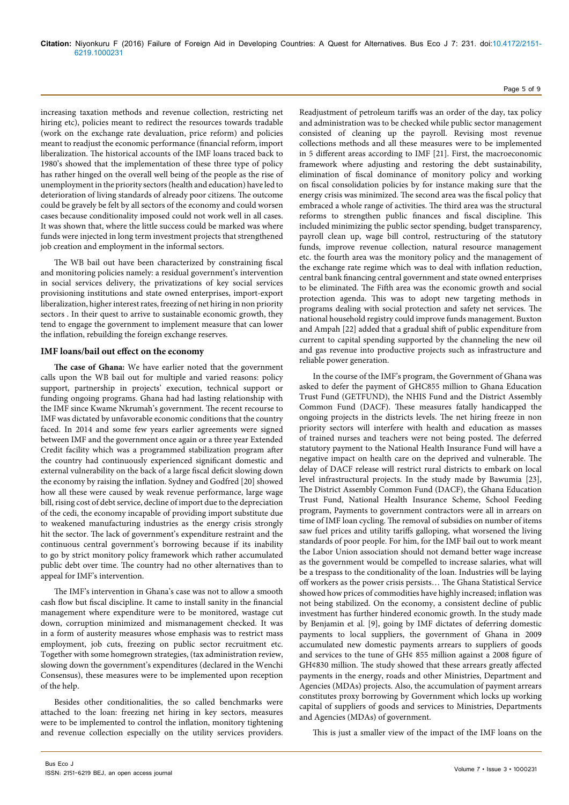increasing taxation methods and revenue collection, restricting net hiring etc), policies meant to redirect the resources towards tradable (work on the exchange rate devaluation, price reform) and policies meant to readjust the economic performance (financial reform, import liberalization. The historical accounts of the IMF loans traced back to 1980's showed that the implementation of these three type of policy has rather hinged on the overall well being of the people as the rise of unemployment in the priority sectors (health and education) have led to deterioration of living standards of already poor citizens. The outcome could be gravely be felt by all sectors of the economy and could worsen cases because conditionality imposed could not work well in all cases. It was shown that, where the little success could be marked was where funds were injected in long term investment projects that strengthened job creation and employment in the informal sectors.

The WB bail out have been characterized by constraining fiscal and monitoring policies namely: a residual government's intervention in social services delivery, the privatizations of key social services provisioning institutions and state owned enterprises, import-export liberalization, higher interest rates, freezing of net hiring in non priority sectors . In their quest to arrive to sustainable economic growth, they tend to engage the government to implement measure that can lower the inflation, rebuilding the foreign exchange reserves.

## **IMF loans/bail out effect on the economy**

**The case of Ghana:** We have earlier noted that the government calls upon the WB bail out for multiple and varied reasons: policy support, partnership in projects' execution, technical support or funding ongoing programs. Ghana had had lasting relationship with the IMF since Kwame Nkrumah's government. The recent recourse to IMF was dictated by unfavorable economic conditions that the country faced. In 2014 and some few years earlier agreements were signed between IMF and the government once again or a three year Extended Credit facility which was a programmed stabilization program after the country had continuously experienced significant domestic and external vulnerability on the back of a large fiscal deficit slowing down the economy by raising the inflation. Sydney and Godfred [20] showed how all these were caused by weak revenue performance, large wage bill, rising cost of debt service, decline of import due to the depreciation of the cedi, the economy incapable of providing import substitute due to weakened manufacturing industries as the energy crisis strongly hit the sector. The lack of government's expenditure restraint and the continuous central government's borrowing because if its inability to go by strict monitory policy framework which rather accumulated public debt over time. The country had no other alternatives than to appeal for IMF's intervention.

The IMF's intervention in Ghana's case was not to allow a smooth cash flow but fiscal discipline. It came to install sanity in the financial management where expenditure were to be monitored, wastage cut down, corruption minimized and mismanagement checked. It was in a form of austerity measures whose emphasis was to restrict mass employment, job cuts, freezing on public sector recruitment etc. Together with some homegrown strategies, (tax administration review, slowing down the government's expenditures (declared in the Wenchi Consensus), these measures were to be implemented upon reception of the help.

Besides other conditionalities, the so called benchmarks were attached to the loan: freezing net hiring in key sectors, measures were to be implemented to control the inflation, monitory tightening and revenue collection especially on the utility services providers.

Readjustment of petroleum tariffs was an order of the day, tax policy and administration was to be checked while public sector management consisted of cleaning up the payroll. Revising most revenue collections methods and all these measures were to be implemented in 5 different areas according to IMF [21]. First, the macroeconomic framework where adjusting and restoring the debt sustainability, elimination of fiscal dominance of monitory policy and working on fiscal consolidation policies by for instance making sure that the energy crisis was minimized. The second area was the fiscal policy that embraced a whole range of activities. The third area was the structural reforms to strengthen public finances and fiscal discipline. This included minimizing the public sector spending, budget transparency, payroll clean up, wage bill control, restructuring of the statutory funds, improve revenue collection, natural resource management etc. the fourth area was the monitory policy and the management of the exchange rate regime which was to deal with inflation reduction, central bank financing central government and state owned enterprises to be eliminated. The Fifth area was the economic growth and social protection agenda. This was to adopt new targeting methods in programs dealing with social protection and safety net services. The national household registry could improve funds management. Buxton and Ampah [22] added that a gradual shift of public expenditure from current to capital spending supported by the channeling the new oil and gas revenue into productive projects such as infrastructure and reliable power generation.

In the course of the IMF's program, the Government of Ghana was asked to defer the payment of GHC855 million to Ghana Education Trust Fund (GETFUND), the NHIS Fund and the District Assembly Common Fund (DACF). These measures fatally handicapped the ongoing projects in the districts levels. The net hiring freeze in non priority sectors will interfere with health and education as masses of trained nurses and teachers were not being posted. The deferred statutory payment to the National Health Insurance Fund will have a negative impact on health care on the deprived and vulnerable. The delay of DACF release will restrict rural districts to embark on local level infrastructural projects. In the study made by Bawumia [23], The District Assembly Common Fund (DACF), the Ghana Education Trust Fund, National Health Insurance Scheme, School Feeding program, Payments to government contractors were all in arrears on time of IMF loan cycling. The removal of subsidies on number of items saw fuel prices and utility tariffs galloping, what worsened the living standards of poor people. For him, for the IMF bail out to work meant the Labor Union association should not demand better wage increase as the government would be compelled to increase salaries, what will be a trespass to the conditionality of the loan. Industries will be laying off workers as the power crisis persists… The Ghana Statistical Service showed how prices of commodities have highly increased; inflation was not being stabilized. On the economy, a consistent decline of public investment has further hindered economic growth. In the study made by Benjamin et al. [9], going by IMF dictates of deferring domestic payments to local suppliers, the government of Ghana in 2009 accumulated new domestic payments arrears to suppliers of goods and services to the tune of GH¢ 855 million against a 2008 figure of GH¢830 million. The study showed that these arrears greatly affected payments in the energy, roads and other Ministries, Department and Agencies (MDAs) projects. Also, the accumulation of payment arrears constitutes proxy borrowing by Government which locks up working capital of suppliers of goods and services to Ministries, Departments and Agencies (MDAs) of government.

This is just a smaller view of the impact of the IMF loans on the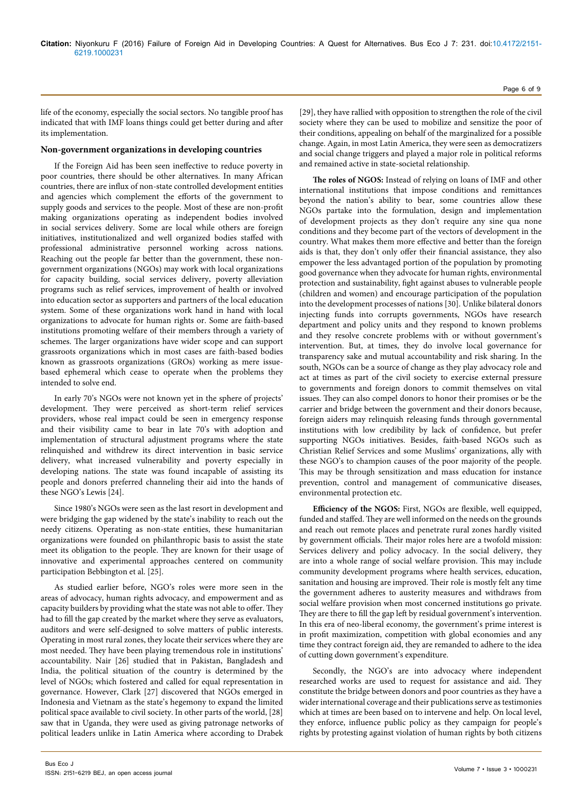life of the economy, especially the social sectors. No tangible proof has indicated that with IMF loans things could get better during and after its implementation.

## **Non-government organizations in developing countries**

If the Foreign Aid has been seen ineffective to reduce poverty in poor countries, there should be other alternatives. In many African countries, there are influx of non-state controlled development entities and agencies which complement the efforts of the government to supply goods and services to the people. Most of these are non-profit making organizations operating as independent bodies involved in social services delivery. Some are local while others are foreign initiatives, institutionalized and well organized bodies staffed with professional administrative personnel working across nations. Reaching out the people far better than the government, these nongovernment organizations (NGOs) may work with local organizations for capacity building, social services delivery, poverty alleviation programs such as relief services, improvement of health or involved into education sector as supporters and partners of the local education system. Some of these organizations work hand in hand with local organizations to advocate for human rights or. Some are faith-based institutions promoting welfare of their members through a variety of schemes. The larger organizations have wider scope and can support grassroots organizations which in most cases are faith-based bodies known as grassroots organizations (GROs) working as mere issuebased ephemeral which cease to operate when the problems they intended to solve end.

In early 70's NGOs were not known yet in the sphere of projects' development. They were perceived as short-term relief services providers, whose real impact could be seen in emergency response and their visibility came to bear in late 70's with adoption and implementation of structural adjustment programs where the state relinquished and withdrew its direct intervention in basic service delivery, what increased vulnerability and poverty especially in developing nations. The state was found incapable of assisting its people and donors preferred channeling their aid into the hands of these NGO's Lewis [24].

Since 1980's NGOs were seen as the last resort in development and were bridging the gap widened by the state's inability to reach out the needy citizens. Operating as non-state entities, these humanitarian organizations were founded on philanthropic basis to assist the state meet its obligation to the people. They are known for their usage of innovative and experimental approaches centered on community participation Bebbington et al. [25].

As studied earlier before, NGO's roles were more seen in the areas of advocacy, human rights advocacy, and empowerment and as capacity builders by providing what the state was not able to offer. They had to fill the gap created by the market where they serve as evaluators, auditors and were self-designed to solve matters of public interests. Operating in most rural zones, they locate their services where they are most needed. They have been playing tremendous role in institutions' accountability. Nair [26] studied that in Pakistan, Bangladesh and India, the political situation of the country is determined by the level of NGOs; which fostered and called for equal representation in governance. However, Clark [27] discovered that NGOs emerged in Indonesia and Vietnam as the state's hegemony to expand the limited political space available to civil society. In other parts of the world, [28] saw that in Uganda, they were used as giving patronage networks of political leaders unlike in Latin America where according to Drabek

[29], they have rallied with opposition to strengthen the role of the civil society where they can be used to mobilize and sensitize the poor of their conditions, appealing on behalf of the marginalized for a possible change. Again, in most Latin America, they were seen as democratizers and social change triggers and played a major role in political reforms and remained active in state-societal relationship.

**The roles of NGOS:** Instead of relying on loans of IMF and other international institutions that impose conditions and remittances beyond the nation's ability to bear, some countries allow these NGOs partake into the formulation, design and implementation of development projects as they don't require any sine qua none conditions and they become part of the vectors of development in the country. What makes them more effective and better than the foreign aids is that, they don't only offer their financial assistance, they also empower the less advantaged portion of the population by promoting good governance when they advocate for human rights, environmental protection and sustainability, fight against abuses to vulnerable people (children and women) and encourage participation of the population into the development processes of nations [30]. Unlike bilateral donors injecting funds into corrupts governments, NGOs have research department and policy units and they respond to known problems and they resolve concrete problems with or without government's intervention. But, at times, they do involve local governance for transparency sake and mutual accountability and risk sharing. In the south, NGOs can be a source of change as they play advocacy role and act at times as part of the civil society to exercise external pressure to governments and foreign donors to commit themselves on vital issues. They can also compel donors to honor their promises or be the carrier and bridge between the government and their donors because, foreign aiders may relinquish releasing funds through governmental institutions with low credibility by lack of confidence, but prefer supporting NGOs initiatives. Besides, faith-based NGOs such as Christian Relief Services and some Muslims' organizations, ally with these NGO's to champion causes of the poor majority of the people. This may be through sensitization and mass education for instance prevention, control and management of communicative diseases, environmental protection etc.

**Efficiency of the NGOS:** First, NGOs are flexible, well equipped, funded and staffed. They are well informed on the needs on the grounds and reach out remote places and penetrate rural zones hardly visited by government officials. Their major roles here are a twofold mission: Services delivery and policy advocacy. In the social delivery, they are into a whole range of social welfare provision. This may include community development programs where health services, education, sanitation and housing are improved. Their role is mostly felt any time the government adheres to austerity measures and withdraws from social welfare provision when most concerned institutions go private. They are there to fill the gap left by residual government's intervention. In this era of neo-liberal economy, the government's prime interest is in profit maximization, competition with global economies and any time they contract foreign aid, they are remanded to adhere to the idea of cutting down government's expenditure.

Secondly, the NGO's are into advocacy where independent researched works are used to request for assistance and aid. They constitute the bridge between donors and poor countries as they have a wider international coverage and their publications serve as testimonies which at times are been based on to intervene and help. On local level, they enforce, influence public policy as they campaign for people's rights by protesting against violation of human rights by both citizens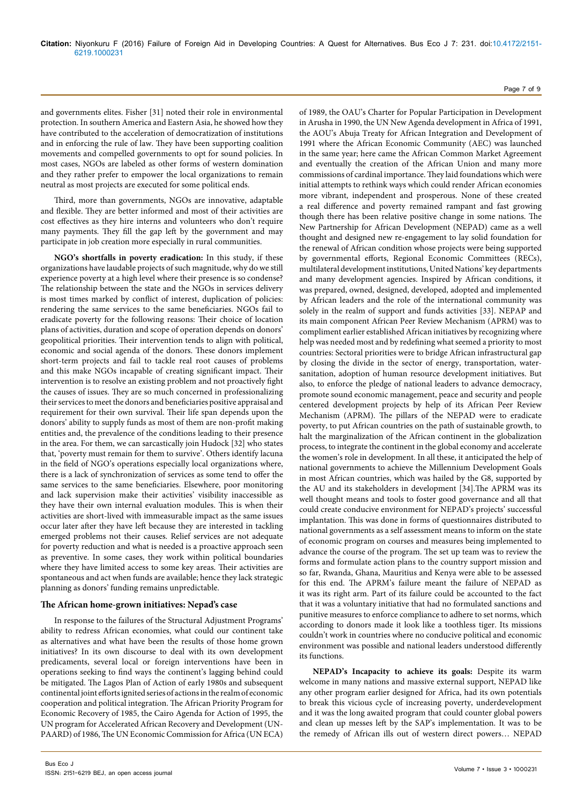and governments elites. Fisher [31] noted their role in environmental protection. In southern America and Eastern Asia, he showed how they have contributed to the acceleration of democratization of institutions and in enforcing the rule of law. They have been supporting coalition movements and compelled governments to opt for sound policies. In most cases, NGOs are labeled as other forms of western domination and they rather prefer to empower the local organizations to remain neutral as most projects are executed for some political ends.

Third, more than governments, NGOs are innovative, adaptable and flexible. They are better informed and most of their activities are cost effectives as they hire interns and volunteers who don't require many payments. They fill the gap left by the government and may participate in job creation more especially in rural communities.

**NGO's shortfalls in poverty eradication:** In this study, if these organizations have laudable projects of such magnitude, why do we still experience poverty at a high level where their presence is so condense? The relationship between the state and the NGOs in services delivery is most times marked by conflict of interest, duplication of policies: rendering the same services to the same beneficiaries. NGOs fail to eradicate poverty for the following reasons: Their choice of location plans of activities, duration and scope of operation depends on donors' geopolitical priorities. Their intervention tends to align with political, economic and social agenda of the donors. These donors implement short-term projects and fail to tackle real root causes of problems and this make NGOs incapable of creating significant impact. Their intervention is to resolve an existing problem and not proactively fight the causes of issues. They are so much concerned in professionalizing their services to meet the donors and beneficiaries positive appraisal and requirement for their own survival. Their life span depends upon the donors' ability to supply funds as most of them are non-profit making entities and, the prevalence of the conditions leading to their presence in the area. For them, we can sarcastically join Hudock [32] who states that, 'poverty must remain for them to survive'. Others identify lacuna in the field of NGO's operations especially local organizations where, there is a lack of synchronization of services as some tend to offer the same services to the same beneficiaries. Elsewhere, poor monitoring and lack supervision make their activities' visibility inaccessible as they have their own internal evaluation modules. This is when their activities are short-lived with immeasurable impact as the same issues occur later after they have left because they are interested in tackling emerged problems not their causes. Relief services are not adequate for poverty reduction and what is needed is a proactive approach seen as preventive. In some cases, they work within political boundaries where they have limited access to some key areas. Their activities are spontaneous and act when funds are available; hence they lack strategic planning as donors' funding remains unpredictable.

## **The African home-grown initiatives: Nepad's case**

In response to the failures of the Structural Adjustment Programs' ability to redress African economies, what could our continent take as alternatives and what have been the results of those home grown initiatives? In its own discourse to deal with its own development predicaments, several local or foreign interventions have been in operations seeking to find ways the continent's lagging behind could be mitigated. The Lagos Plan of Action of early 1980s and subsequent continental joint efforts ignited series of actions in the realm of economic cooperation and political integration. The African Priority Program for Economic Recovery of 1985, the Cairo Agenda for Action of 1995, the UN program for Accelerated African Recovery and Development (UN-PAARD) of 1986, The UN Economic Commission for Africa (UN ECA)

of 1989, the OAU's Charter for Popular Participation in Development in Arusha in 1990, the UN New Agenda development in Africa of 1991, the AOU's Abuja Treaty for African Integration and Development of 1991 where the African Economic Community (AEC) was launched in the same year; here came the African Common Market Agreement and eventually the creation of the African Union and many more commissions of cardinal importance. They laid foundations which were initial attempts to rethink ways which could render African economies more vibrant, independent and prosperous. None of these created a real difference and poverty remained rampant and fast growing though there has been relative positive change in some nations. The New Partnership for African Development (NEPAD) came as a well thought and designed new re-engagement to lay solid foundation for the renewal of African condition whose projects were being supported by governmental efforts, Regional Economic Committees (RECs), multilateral development institutions, United Nations' key departments and many development agencies. Inspired by African conditions, it was prepared, owned, designed, developed, adopted and implemented by African leaders and the role of the international community was solely in the realm of support and funds activities [33]. NEPAP and its main component African Peer Review Mechanism (APRM) was to compliment earlier established African initiatives by recognizing where help was needed most and by redefining what seemed a priority to most countries: Sectoral priorities were to bridge African infrastructural gap by closing the divide in the sector of energy, transportation, watersanitation, adoption of human resource development initiatives. But also, to enforce the pledge of national leaders to advance democracy, promote sound economic management, peace and security and people centered development projects by help of its African Peer Review Mechanism (APRM). The pillars of the NEPAD were to eradicate poverty, to put African countries on the path of sustainable growth, to halt the marginalization of the African continent in the globalization process, to integrate the continent in the global economy and accelerate the women's role in development. In all these, it anticipated the help of national governments to achieve the Millennium Development Goals in most African countries, which was hailed by the G8, supported by the AU and its stakeholders in development [34].The APRM was its well thought means and tools to foster good governance and all that could create conducive environment for NEPAD's projects' successful implantation. This was done in forms of questionnaires distributed to national governments as a self assessment means to inform on the state of economic program on courses and measures being implemented to advance the course of the program. The set up team was to review the forms and formulate action plans to the country support mission and so far, Rwanda, Ghana, Mauritius and Kenya were able to be assessed for this end. The APRM's failure meant the failure of NEPAD as it was its right arm. Part of its failure could be accounted to the fact that it was a voluntary initiative that had no formulated sanctions and punitive measures to enforce compliance to adhere to set norms, which according to donors made it look like a toothless tiger. Its missions couldn't work in countries where no conducive political and economic environment was possible and national leaders understood differently its functions.

**NEPAD's Incapacity to achieve its goals:** Despite its warm welcome in many nations and massive external support, NEPAD like any other program earlier designed for Africa, had its own potentials to break this vicious cycle of increasing poverty, underdevelopment and it was the long awaited program that could counter global powers and clean up messes left by the SAP's implementation. It was to be the remedy of African ills out of western direct powers… NEPAD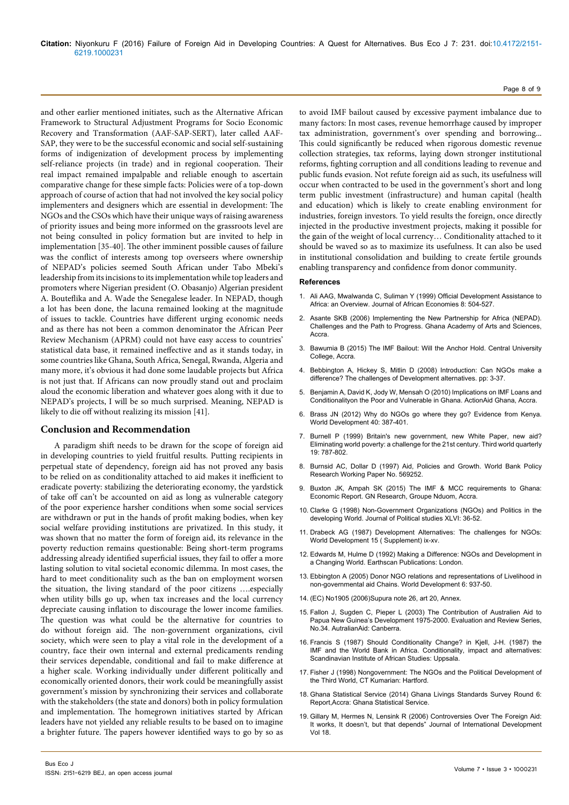and other earlier mentioned initiates, such as the Alternative African Framework to Structural Adjustment Programs for Socio Economic Recovery and Transformation (AAF-SAP-SERT), later called AAF-SAP, they were to be the successful economic and social self-sustaining forms of indigenization of development process by implementing self-reliance projects (in trade) and in regional cooperation. Their real impact remained impalpable and reliable enough to ascertain comparative change for these simple facts: Policies were of a top-down approach of course of action that had not involved the key social policy implementers and designers which are essential in development: The NGOs and the CSOs which have their unique ways of raising awareness of priority issues and being more informed on the grassroots level are not being consulted in policy formation but are invited to help in implementation [35-40]. The other imminent possible causes of failure was the conflict of interests among top overseers where ownership of NEPAD's policies seemed South African under Tabo Mbeki's leadership from its incisions to its implementation while top leaders and promoters where Nigerian president (O. Obasanjo) Algerian president A. Bouteflika and A. Wade the Senegalese leader. In NEPAD, though a lot has been done, the lacuna remained looking at the magnitude of issues to tackle. Countries have different urging economic needs and as there has not been a common denominator the African Peer Review Mechanism (APRM) could not have easy access to countries' statistical data base, it remained ineffective and as it stands today, in some countries like Ghana, South Africa, Senegal, Rwanda, Algeria and many more, it's obvious it had done some laudable projects but Africa is not just that. If Africans can now proudly stand out and proclaim aloud the economic liberation and whatever goes along with it due to NEPAD's projects, I will be so much surprised. Meaning, NEPAD is likely to die off without realizing its mission [41].

## **Conclusion and Recommendation**

A paradigm shift needs to be drawn for the scope of foreign aid in developing countries to yield fruitful results. Putting recipients in perpetual state of dependency, foreign aid has not proved any basis to be relied on as conditionality attached to aid makes it inefficient to eradicate poverty: stabilizing the deteriorating economy, the yardstick of take off can't be accounted on aid as long as vulnerable category of the poor experience harsher conditions when some social services are withdrawn or put in the hands of profit making bodies, when key social welfare providing institutions are privatized. In this study, it was shown that no matter the form of foreign aid, its relevance in the poverty reduction remains questionable: Being short-term programs addressing already identified superficial issues, they fail to offer a more lasting solution to vital societal economic dilemma. In most cases, the hard to meet conditionality such as the ban on employment worsen the situation, the living standard of the poor citizens ….especially when utility bills go up, when tax increases and the local currency depreciate causing inflation to discourage the lower income families. The question was what could be the alternative for countries to do without foreign aid. The non-government organizations, civil society, which were seen to play a vital role in the development of a country, face their own internal and external predicaments rending their services dependable, conditional and fail to make difference at a higher scale. Working individually under different politically and economically oriented donors, their work could be meaningfully assist government's mission by synchronizing their services and collaborate with the stakeholders (the state and donors) both in policy formulation and implementation. The homegrown initiatives started by African leaders have not yielded any reliable results to be based on to imagine a brighter future. The papers however identified ways to go by so as

to avoid IMF bailout caused by excessive payment imbalance due to many factors: In most cases, revenue hemorrhage caused by improper tax administration, government's over spending and borrowing... This could significantly be reduced when rigorous domestic revenue collection strategies, tax reforms, laying down stronger institutional reforms, fighting corruption and all conditions leading to revenue and public funds evasion. Not refute foreign aid as such, its usefulness will occur when contracted to be used in the government's short and long term public investment (infrastructure) and human capital (health and education) which is likely to create enabling environment for industries, foreign investors. To yield results the foreign, once directly injected in the productive investment projects, making it possible for the gain of the weight of local currency… Conditionality attached to it should be waved so as to maximize its usefulness. It can also be used in institutional consolidation and building to create fertile grounds enabling transparency and confidence from donor community.

#### **References**

- 1. Ali AAG, Mwalwanda C, Suliman Y ([1999\) Official](https://www.google.co.in/url?sa=t&rct=j&q=&esrc=s&source=web&cd=10&ved=0ahUKEwjU2vXnquHNAhUIvY8KHe2FCSIQFghVMAk&url=http%3A%2F%2Fjae.oxfordjournals.org%2Fcontent%2F8%2F4%2F504.short&usg=AFQjCNEiX3bkjjywiPLzn30qM-okDF9l2A&cad=rja) Development Assistance to Africa: an [Overview. Journal](https://www.google.co.in/url?sa=t&rct=j&q=&esrc=s&source=web&cd=10&ved=0ahUKEwjU2vXnquHNAhUIvY8KHe2FCSIQFghVMAk&url=http%3A%2F%2Fjae.oxfordjournals.org%2Fcontent%2F8%2F4%2F504.short&usg=AFQjCNEiX3bkjjywiPLzn30qM-okDF9l2A&cad=rja) of African Economies 8: 504-527.
- Asante SKB (2006) Implementing the New Partnership for Africa (NEPAD). Challenges and the Path to Progress. Ghana Academy of Arts and Sciences, Accra.
- 3. Bawumia B (2015) The IMF Bailout: Will the Anchor Hold. Central University College, Accra.
- Bebbington A, Hickey S, Mitlin D ([2008\) Introduction: Can](http://pubs.iied.org/X00003) NGOs make a difference? The challenges of Development [alternatives. pp: 3-37.](http://pubs.iied.org/X00003)
- 5. Benjamin A, David K, Jody W, Mensah O (2010) Implications on IMF Loans and Conditionalityon the Poor and Vulnerable in Ghana. ActionAid Ghana, Accra.
- 6. Brass JN ([2012\) Why](http://www.sciencedirect.com/science/article/pii/S0305750X11001926) do NGOs go where they go? Evidence from Kenya. World [Development](http://www.sciencedirect.com/science/article/pii/S0305750X11001926) 40: 387-401.
- 7. Burnell P ([1999\) Britain](http://www.tandfonline.com/doi/abs/10.1080/01436599814244)'s new government, new White Paper, new aid? Eliminating world poverty: a challenge for the 21st [century. Third](http://www.tandfonline.com/doi/abs/10.1080/01436599814244) world quarterly [19: 787-802.](http://www.tandfonline.com/doi/abs/10.1080/01436599814244)
- 8. Burnsid AC, Dollar D (1997) Aid, Policies and [Growth. World](http://papers.ssrn.com/sol3/papers.cfm?abstract_id=569252) Bank Policy [Research](http://papers.ssrn.com/sol3/papers.cfm?abstract_id=569252) Working Paper No. 569252.
- 9. Buxton JK, Ampah SK (2015) The IMF & MCC requirements to Ghana: Economic Report. GN Research, Groupe Nduom, Accra.
- 10. Clarke G (1998) Non-Government [Organizations](http://onlinelibrary.wiley.com/doi/10.1111/1467-9248.00128/abstract) (NGOs) and Politics in the developing [World. Journal](http://onlinelibrary.wiley.com/doi/10.1111/1467-9248.00128/abstract) of Political studies XLVI: 36-52.
- 11. Drabeck AG ([1987\) Development](https://ideas.repec.org/a/eee/wdevel/v15y1987i1pix-xv.html) Alternatives: The challenges for NGOs: World Development 15 ( [Supplement\) ix-xv.](https://ideas.repec.org/a/eee/wdevel/v15y1987i1pix-xv.html)
- 12. Edwards M, Hulme D (1992) Making a [Difference: NGOs](https://books.google.co.in/books?id=9sK3AAAAIAAJ&source=gbs_navlinks_s&redir_esc=y) and Development in a Changing World. Earthscan [Publications: London.](https://books.google.co.in/books?id=9sK3AAAAIAAJ&source=gbs_navlinks_s&redir_esc=y)
- 13. Ebbington A (2005) Donor NGO relations and [representations](https://www.escholar.manchester.ac.uk/uk-ac-man-scw:1b737) of Livelihood in non[-governmental](https://www.escholar.manchester.ac.uk/uk-ac-man-scw:1b737) aid Chains. World Development 6: 937-50.
- 14. (EC) No1905 ([2006\)Supura](http://ec.europa.eu/internal_market/securities/docs/prospectus/reg-2004-809/reg-2004-809_en.pdf) note 26, art 20, Annex.
- 15. Fallon J, Sugden C, Pieper L (2003) The [Contribution](http://www.oecd.org/countries/papuanewguinea/35402503.pdf) of Australien Aid to Papua New Guinea's Development [1975-2000. Evaluation](http://www.oecd.org/countries/papuanewguinea/35402503.pdf) and Review Series, No[.34. AutralianAid: Canberra.](http://www.oecd.org/countries/papuanewguinea/35402503.pdf)
- 16. Francis S (1987) Should Conditionality Change? in Kjell, J[-H. \(1987\) the](https://www.diva-portal.org/smash/get/diva2:277664/FULLTEXT01.pdf) IMF and the World Bank in [Africa. Conditionality](https://www.diva-portal.org/smash/get/diva2:277664/FULLTEXT01.pdf), impact and alternatives: Scandinavian Institute of African [Studies: Uppsala](https://www.diva-portal.org/smash/get/diva2:277664/FULLTEXT01.pdf).
- 17. Fisher J ([1998\) Nongovernment: The](https://www.questia.com/library/85951996/nongovernments-ngos-and-the-political-development) NGOs and the Political Development of the Third World, CT [Kumarian: Hartford.](https://www.questia.com/library/85951996/nongovernments-ngos-and-the-political-development)
- 18. Ghana Statistical Service ([2014\) Ghana](http://www.statsghana.gov.gh/glss6.html) Livings Standards Survey Round 6: Report,[Accra: Ghana](http://www.statsghana.gov.gh/glss6.html) Statistical Service.
- 19. Gillary M, Hermes N, Lensink R ([2006\) Controversies](https://ideas.repec.org/a/wly/jintdv/v18y2006i7p1031-1050.html) Over The Foreign Aid: It works, It doesn't, but that depends" Journal of International [Development](https://ideas.repec.org/a/wly/jintdv/v18y2006i7p1031-1050.html) [Vol](https://ideas.repec.org/a/wly/jintdv/v18y2006i7p1031-1050.html) 18.